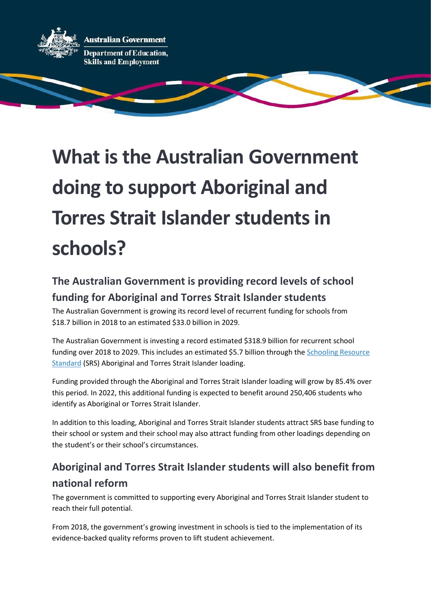

## What is the Australian Government doing to support Aboriginal and Torres Strait Islander students in schools?

## The Australian Government is providing record levels of school funding for Aboriginal and Torres Strait Islander students

The Australian Government is growing its record level of recurrent funding for schools from \$18.7 billion in 2018 to an estimated \$33.0 billion in 2029.

The Australian Government is investing a record estimated \$318.9 billion for recurrent school funding over 2018 to 2029. This includes an estimated \$5.7 billion through the Schooling Resource Standard (SRS) Aboriginal and Torres Strait Islander loading.

Funding provided through the Aboriginal and Torres Strait Islander loading will grow by 85.4% over this period. In 2022, this additional funding is expected to benefit around 250,406 students who identify as Aboriginal or Torres Strait Islander.

In addition to this loading, Aboriginal and Torres Strait Islander students attract SRS base funding to their school or system and their school may also attract funding from other loadings depending on the student's or their school's circumstances.

## Aboriginal and Torres Strait Islander students will also benefit from national reform

The government is committed to supporting every Aboriginal and Torres Strait Islander student to reach their full potential.

From 2018, the government's growing investment in schools is tied to the implementation of its evidence-backed quality reforms proven to lift student achievement.